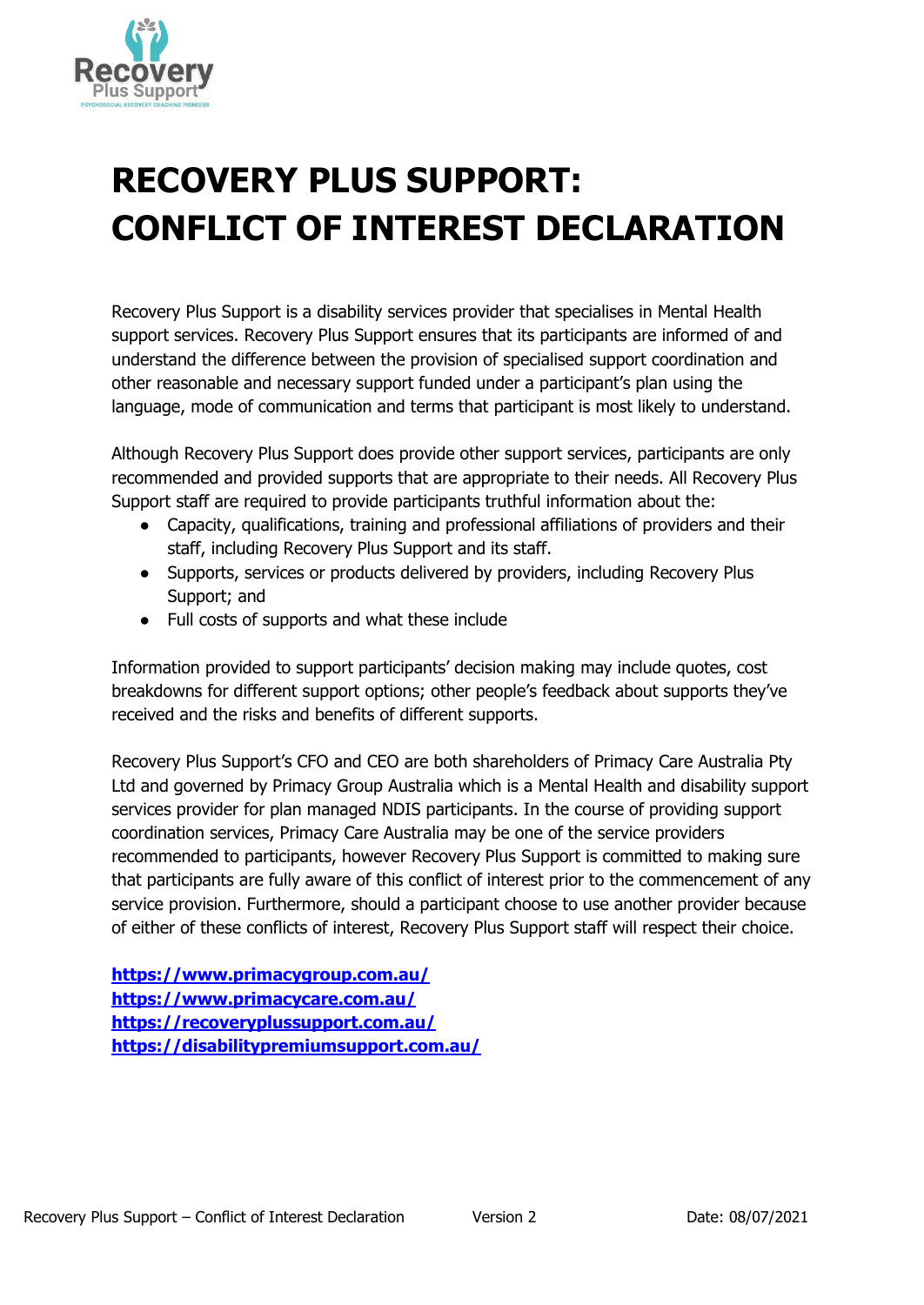

## **RECOVERY PLUS SUPPORT: CONFLICT OF INTEREST DECLARATION**

Recovery Plus Support is a disability services provider that specialises in Mental Health support services. Recovery Plus Support ensures that its participants are informed of and understand the difference between the provision of specialised support coordination and other reasonable and necessary support funded under a participant's plan using the language, mode of communication and terms that participant is most likely to understand.

Although Recovery Plus Support does provide other support services, participants are only recommended and provided supports that are appropriate to their needs. All Recovery Plus Support staff are required to provide participants truthful information about the:

- Capacity, qualifications, training and professional affiliations of providers and their staff, including Recovery Plus Support and its staff.
- Supports, services or products delivered by providers, including Recovery Plus Support; and
- Full costs of supports and what these include

Information provided to support participants' decision making may include quotes, cost breakdowns for different support options; other people's feedback about supports they've received and the risks and benefits of different supports.

Recovery Plus Support's CFO and CEO are both shareholders of Primacy Care Australia Pty Ltd and governed by Primacy Group Australia which is a Mental Health and disability support services provider for plan managed NDIS participants. In the course of providing support coordination services, Primacy Care Australia may be one of the service providers recommended to participants, however Recovery Plus Support is committed to making sure that participants are fully aware of this conflict of interest prior to the commencement of any service provision. Furthermore, should a participant choose to use another provider because of either of these conflicts of interest, Recovery Plus Support staff will respect their choice.

**<https://www.primacygroup.com.au/> <https://www.primacycare.com.au/> <https://recoveryplussupport.com.au/> <https://disabilitypremiumsupport.com.au/>**